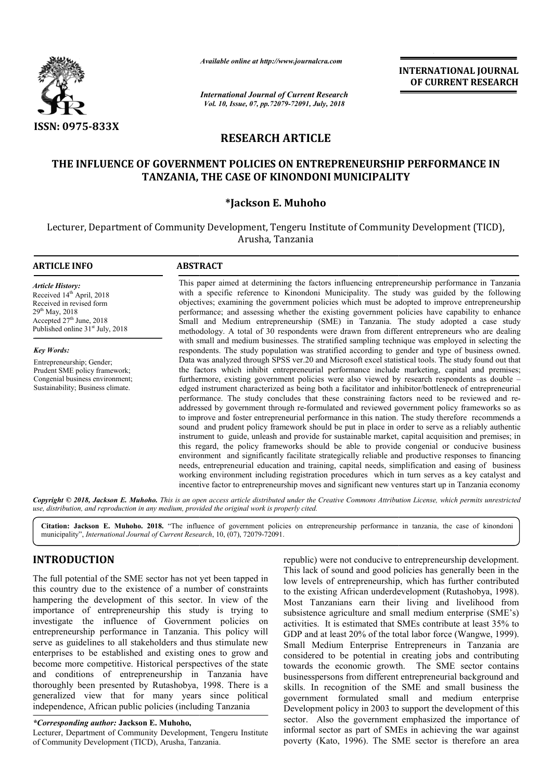

**ARTICLE INFO ABSTRACT**

*Available online at http://www.journalcra.com*

*International Journal of Current Research Vol. 10, Issue, 07, pp.72079-72091, July, 2018*

**INTERNATIONAL JOURNAL OF CURRENT RESEARCH**

# **RESEARCH ARTICLE**

# **THE INFLUENCE OF GOVERNMENT POLICIES ON ENTREPRENEURSHIP PERFORMANCE IN TANZANIA, THE CASE OF KINONDONI MUNICIPALITY**

# **\*Jackson E. Muhoho**

Lecturer, Department of Community Development, Tengeru Institute of Community Development (TICD), Arusha, Tanzania

#### This paper aimed at determining the factors influencing entrepreneurship performance in Tanzania with a specific reference to Kinondoni Municipality. The study was guided by the following objectives; examining the government policies which must be adopted to improve entrepreneurship performance; and assessing whether the existing government policies have capability to enhance Small and Medium entrepreneurship (SME) in Tanzania. The study adopted a case study methodology. A total of 30 respondents were drawn from different entrepreneurs who are dealing with small and medium businesses. The stratified sampling technique was employed in selecting the respondents. The study population was stratified according to gender and type of business owned. This paper aimed at determining the factors influencing entrepreneurship performance in Tanzania<br>with a specific reference to Kinondoni Municipality. The study was guided by the following<br>objectives; examining the governme the factors which inhibit entrepreneurial performance include marketing, capital and premises; the factors which inhibit entrepreneurial performance include marketing, capital and premises; furthermore, existing government policies were also viewed by research respondents as double – edged instrument characterized as be being both a facilitator and inhibitor/bottleneck of entrepreneurial edged instrument characterized as being both a facilitator and inhibitor/bottleneck of entrepreneurial<br>performance. The study concludes that these constraining factors need to be reviewed and readdressed by government through re-formulated and reviewed government policy frameworks so as to improve and foster entrepreneurial performance in this nation. The study therefore recommends a sound and prudent policy framework should be put in place in order to serve as a reliably authentic instrument to guide, unleash and provide for sustainable market, capital acquisition and premises; in *Article History:* Received 14<sup>th</sup> April, 2018 Received in revised form  $29^{th}$  May,  $2018$  $\frac{25}{27}$  June, 2018 Published online  $31<sup>st</sup>$  July, 2018 *Key Words:* Entrepreneurship; Gender; Prudent SME policy framework; Congenial business environment; Sustainability; Business climate. ed by government through re-formulated and reviewed government policy frameworks so as<br>ove and foster entrepreneurial performance in this nation. The study therefore recommends a<br>and prudent policy framework should be put

environment and significantly facilitate strategically reliable and productive responses to financing needs, entrepreneurial education and training, capital needs, simplification and easing of business working environment including registration procedures which in turn serves as a key catalyst and incentive factor to entrepreneurship moves and significant new ventures start up in Tanzania economy

this regard, the policy frameworks should be able to provide congenial or conducive business

Copyright © 2018, Jackson E. Muhoho. This is an open access article distributed under the Creative Commons Attribution License, which permits unrestrictea *use, distribution, and reproduction in any medium, provided the original work is properly cited.*

Citation: Jackson E. Muhoho. 2018. "The influence of government policies on entrepreneurship performance in tanzania, the case of kinondoni **Citation: Jackson E. Muhoho. 2018.** "The influence of government policinal unicipality", *International Journal of Current Research*, 10, (07), 72079-72091.

# **INTRODUCTION**

The full potential of the SME sector has not yet been tapped in this country due to the existence of a number of constraints hampering the development of this sector. In view of the importance of entrepreneurship this study is trying to investigate the influence of Government policies on entrepreneurship performance in Tanzania. This policy will serve as guidelines to all stakeholders and thus stimulate new enterprises to be established and existing ones to grow and become more competitive. Historical perspectives of the state and conditions of entrepreneurship in Tanzania have thoroughly been presented by Rutashobya, 1998. There is a generalized view that for many years since politica independence, African public policies (including Tanzania ed and existing ones to grow and<br>Historical perspectives of the state<br>epreneurship in Tanzania have<br>l by Rutashobya, 1998. There is a<br>for many years since political

*\*Corresponding author:* **Jackson E. Muhoho,**

Lecturer, Department of Community Development, Tengeru Institute of Community Development (TICD), Arusha, Tanzania Tanzania.

republic) were not conducive to entrepreneurship development. This lack of sound and good policies has generally been in the low levels of entrepreneurship, which has further contributed to the existing African underdevelopment (Rutashobya, 1998). Most Tanzanians earn their living and livelihood from subsistence agriculture and small medium enterprise (SME's) activities. It is estimated that SMEs contribute at least 35% to GDP and at least 20% of the total labor force (Wangwe, 1999). Small Medium Enterprise Entrepreneurs in Tanzania are considered to be potential in creating jobs and contributing towards the economic growth. The SME sector contains businesspersons from different entrepreneurial background and skills. In recognition of the SME and small business the government formulated small and medium enterprise Development policy in 2003 to support the development of this sector. Also the government emphasized the importance of informal sector as part of SMEs in achieving the war against poverty (Kato, 1996). The SME sector is therefore an area This lack of sound and good policies has generally been in the low levels of entrepreneurship, which has further contributed to the existing African underdevelopment (Rutashobya, 1998). Most Tanzanians earn their living an sistence agriculture and small medium enterprise (SME's)<br>vities. It is estimated that SMEs contribute at least 35% to<br>P and at least 20% of the total labor force (Wangwe, 1999).<br>all Medium Enterprise Entrepreneurs in Tanza Also the government emphasized the importance of sector as part of SMEs in achieving the war against (Kato, 1996). The SME sector is therefore an area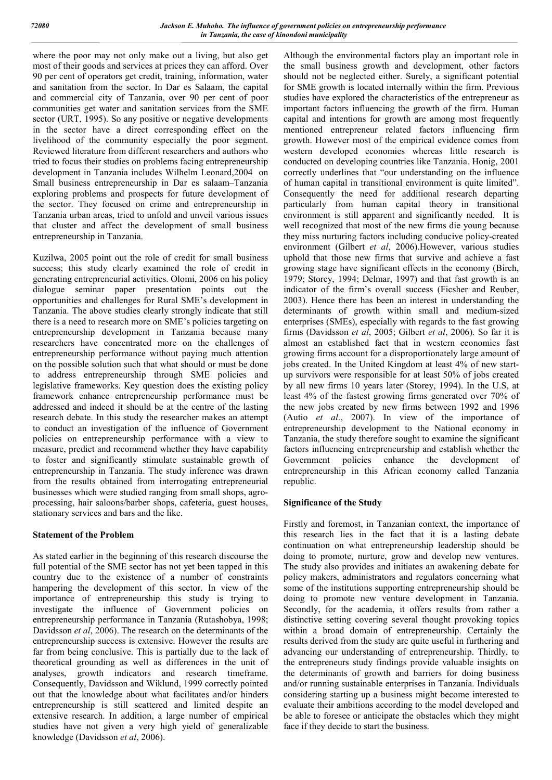where the poor may not only make out a living, but also get most of their goods and services at prices they can afford. Over 90 per cent of operators get credit, training, information, water and sanitation from the sector. In Dar es Salaam, the capital and commercial city of Tanzania, over 90 per cent of poor communities get water and sanitation services from the SME sector (URT, 1995). So any positive or negative developments in the sector have a direct corresponding effect on the livelihood of the community especially the poor segment. Reviewed literature from different researchers and authors who tried to focus their studies on problems facing entrepreneurship development in Tanzania includes Wilhelm Leonard,2004 on Small business entrepreneurship in Dar es salaam–Tanzania exploring problems and prospects for future development of the sector. They focused on crime and entrepreneurship in Tanzania urban areas, tried to unfold and unveil various issues that cluster and affect the development of small business entrepreneurship in Tanzania.

Kuzilwa, 2005 point out the role of credit for small business success; this study clearly examined the role of credit in generating entrepreneurial activities. Olomi, 2006 on his policy dialogue seminar paper presentation points out the opportunities and challenges for Rural SME's development in Tanzania. The above studies clearly strongly indicate that still there is a need to research more on SME's policies targeting on entrepreneurship development in Tanzania because many researchers have concentrated more on the challenges of entrepreneurship performance without paying much attention on the possible solution such that what should or must be done to address entrepreneurship through SME policies and legislative frameworks. Key question does the existing policy framework enhance entrepreneurship performance must be addressed and indeed it should be at the centre of the lasting research debate. In this study the researcher makes an attempt to conduct an investigation of the influence of Government policies on entrepreneurship performance with a view to measure, predict and recommend whether they have capability to foster and significantly stimulate sustainable growth of entrepreneurship in Tanzania. The study inference was drawn from the results obtained from interrogating entrepreneurial businesses which were studied ranging from small shops, agroprocessing, hair saloons/barber shops, cafeteria, guest houses, stationary services and bars and the like.

### **Statement of the Problem**

As stated earlier in the beginning of this research discourse the full potential of the SME sector has not yet been tapped in this country due to the existence of a number of constraints hampering the development of this sector. In view of the importance of entrepreneurship this study is trying to investigate the influence of Government policies on entrepreneurship performance in Tanzania (Rutashobya, 1998; Davidsson *et al*, 2006). The research on the determinants of the entrepreneurship success is extensive. However the results are far from being conclusive. This is partially due to the lack of theoretical grounding as well as differences in the unit of analyses, growth indicators and research timeframe. Consequently, Davidsson and Wiklund, 1999 correctly pointed out that the knowledge about what facilitates and/or hinders entrepreneurship is still scattered and limited despite an extensive research. In addition, a large number of empirical studies have not given a very high yield of generalizable knowledge (Davidsson *et al*, 2006).

Although the environmental factors play an important role in the small business growth and development, other factors should not be neglected either. Surely, a significant potential for SME growth is located internally within the firm. Previous studies have explored the characteristics of the entrepreneur as important factors influencing the growth of the firm. Human capital and intentions for growth are among most frequently mentioned entrepreneur related factors influencing firm growth. However most of the empirical evidence comes from western developed economies whereas little research is conducted on developing countries like Tanzania. Honig, 2001 correctly underlines that "our understanding on the influence of human capital in transitional environment is quite limited". Consequently the need for additional research departing particularly from human capital theory in transitional environment is still apparent and significantly needed. It is well recognized that most of the new firms die young because they miss nurturing factors including conducive policy-created environment (Gilbert *et al*, 2006).However, various studies uphold that those new firms that survive and achieve a fast growing stage have significant effects in the economy (Birch, 1979; Storey, 1994; Delmar, 1997) and that fast growth is an indicator of the firm's overall success (Ficsher and Reuber, 2003). Hence there has been an interest in understanding the determinants of growth within small and medium-sized enterprises (SMEs), especially with regards to the fast growing firms (Davidsson *et al*, 2005; Gilbert *et al*, 2006). So far it is almost an established fact that in western economies fast growing firms account for a disproportionately large amount of jobs created. In the United Kingdom at least 4% of new startup survivors were responsible for at least 50% of jobs created by all new firms 10 years later (Storey, 1994). In the U.S, at least 4% of the fastest growing firms generated over 70% of the new jobs created by new firms between 1992 and 1996 (Autio *et al*., 2007). In view of the importance of entrepreneurship development to the National economy in Tanzania, the study therefore sought to examine the significant factors influencing entrepreneurship and establish whether the Government policies enhance the development of entrepreneurship in this African economy called Tanzania republic.

# **Significance of the Study**

Firstly and foremost, in Tanzanian context, the importance of this research lies in the fact that it is a lasting debate continuation on what entrepreneurship leadership should be doing to promote, nurture, grow and develop new ventures. The study also provides and initiates an awakening debate for policy makers, administrators and regulators concerning what some of the institutions supporting entrepreneurship should be doing to promote new venture development in Tanzania. Secondly, for the academia, it offers results from rather a distinctive setting covering several thought provoking topics within a broad domain of entrepreneurship. Certainly the results derived from the study are quite useful in furthering and advancing our understanding of entrepreneurship. Thirdly, to the entrepreneurs study findings provide valuable insights on the determinants of growth and barriers for doing business and/or running sustainable enterprises in Tanzania. Individuals considering starting up a business might become interested to evaluate their ambitions according to the model developed and be able to foresee or anticipate the obstacles which they might face if they decide to start the business.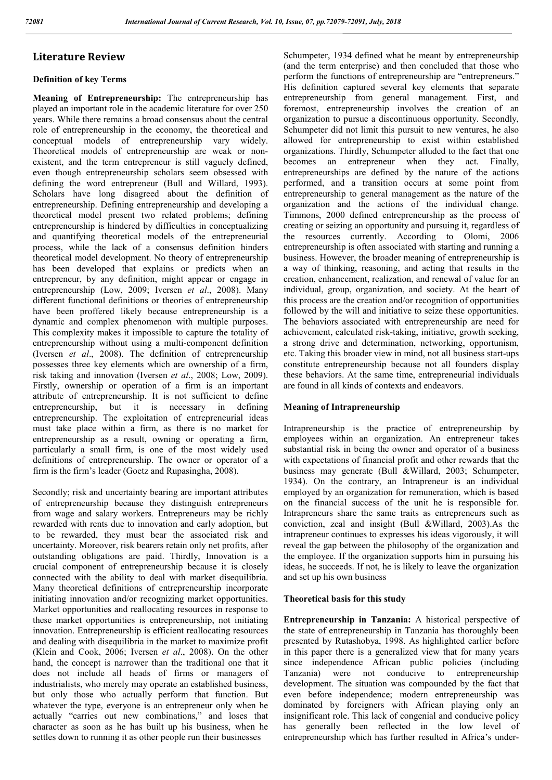# **Literature Review**

# **Definition of key Terms**

**Meaning of Entrepreneurship:** The entrepreneurship has played an important role in the academic literature for over 250 years. While there remains a broad consensus about the central role of entrepreneurship in the economy, the theoretical and conceptual models of entrepreneurship vary widely. Theoretical models of entrepreneurship are weak or nonexistent, and the term entrepreneur is still vaguely defined, even though entrepreneurship scholars seem obsessed with defining the word entrepreneur (Bull and Willard, 1993). Scholars have long disagreed about the definition of entrepreneurship. Defining entrepreneurship and developing a theoretical model present two related problems; defining entrepreneurship is hindered by difficulties in conceptualizing and quantifying theoretical models of the entrepreneurial process, while the lack of a consensus definition hinders theoretical model development. No theory of entrepreneurship has been developed that explains or predicts when an entrepreneur, by any definition, might appear or engage in entrepreneurship (Low, 2009; Iversen *et al*., 2008). Many different functional definitions or theories of entrepreneurship have been proffered likely because entrepreneurship is a dynamic and complex phenomenon with multiple purposes. This complexity makes it impossible to capture the totality of entrepreneurship without using a multi-component definition (Iversen *et al*., 2008). The definition of entrepreneurship possesses three key elements which are ownership of a firm, risk taking and innovation (Iversen *et al*., 2008; Low, 2009). Firstly, ownership or operation of a firm is an important attribute of entrepreneurship. It is not sufficient to define entrepreneurship, but it is necessary in defining entrepreneurship. The exploitation of entrepreneurial ideas must take place within a firm, as there is no market for entrepreneurship as a result, owning or operating a firm, particularly a small firm, is one of the most widely used definitions of entrepreneurship. The owner or operator of a firm is the firm's leader (Goetz and Rupasingha, 2008).

Secondly; risk and uncertainty bearing are important attributes of entrepreneurship because they distinguish entrepreneurs from wage and salary workers. Entrepreneurs may be richly rewarded with rents due to innovation and early adoption, but to be rewarded, they must bear the associated risk and uncertainty. Moreover, risk bearers retain only net profits, after outstanding obligations are paid. Thirdly, Innovation is a crucial component of entrepreneurship because it is closely connected with the ability to deal with market disequilibria. Many theoretical definitions of entrepreneurship incorporate initiating innovation and/or recognizing market opportunities. Market opportunities and reallocating resources in response to these market opportunities is entrepreneurship, not initiating innovation. Entrepreneurship is efficient reallocating resources and dealing with disequilibria in the market to maximize profit (Klein and Cook, 2006; Iversen *et al*., 2008). On the other hand, the concept is narrower than the traditional one that it does not include all heads of firms or managers of industrialists, who merely may operate an established business, but only those who actually perform that function. But whatever the type, everyone is an entrepreneur only when he actually "carries out new combinations," and loses that character as soon as he has built up his business, when he settles down to running it as other people run their businesses

Schumpeter, 1934 defined what he meant by entrepreneurship (and the term enterprise) and then concluded that those who perform the functions of entrepreneurship are "entrepreneurs." His definition captured several key elements that separate entrepreneurship from general management. First, and foremost, entrepreneurship involves the creation of an organization to pursue a discontinuous opportunity. Secondly, Schumpeter did not limit this pursuit to new ventures, he also allowed for entrepreneurship to exist within established organizations. Thirdly, Schumpeter alluded to the fact that one becomes an entrepreneur when they act. Finally, entrepreneurships are defined by the nature of the actions performed, and a transition occurs at some point from entrepreneurship to general management as the nature of the organization and the actions of the individual change. Timmons, 2000 defined entrepreneurship as the process of creating or seizing an opportunity and pursuing it, regardless of the resources currently. According to Olomi, 2006 entrepreneurship is often associated with starting and running a business. However, the broader meaning of entrepreneurship is a way of thinking, reasoning, and acting that results in the creation, enhancement, realization, and renewal of value for an individual, group, organization, and society. At the heart of this process are the creation and/or recognition of opportunities followed by the will and initiative to seize these opportunities. The behaviors associated with entrepreneurship are need for achievement, calculated risk-taking, initiative, growth seeking, a strong drive and determination, networking, opportunism, etc. Taking this broader view in mind, not all business start-ups constitute entrepreneurship because not all founders display these behaviors. At the same time, entrepreneurial individuals are found in all kinds of contexts and endeavors.

# **Meaning of Intrapreneurship**

Intrapreneurship is the practice of entrepreneurship by employees within an organization. An entrepreneur takes substantial risk in being the owner and operator of a business with expectations of financial profit and other rewards that the business may generate (Bull &Willard, 2003; Schumpeter, 1934). On the contrary, an Intrapreneur is an individual employed by an organization for remuneration, which is based on the financial success of the unit he is responsible for. Intrapreneurs share the same traits as entrepreneurs such as conviction, zeal and insight (Bull &Willard, 2003).As the intrapreneur continues to expresses his ideas vigorously, it will reveal the gap between the philosophy of the organization and the employee. If the organization supports him in pursuing his ideas, he succeeds. If not, he is likely to leave the organization and set up his own business

### **Theoretical basis for this study**

**Entrepreneurship in Tanzania:** A historical perspective of the state of entrepreneurship in Tanzania has thoroughly been presented by Rutashobya, 1998. As highlighted earlier before in this paper there is a generalized view that for many years since independence African public policies (including Tanzania) were not conducive to entrepreneurship development. The situation was compounded by the fact that even before independence; modern entrepreneurship was dominated by foreigners with African playing only an insignificant role. This lack of congenial and conducive policy has generally been reflected in the low level of entrepreneurship which has further resulted in Africa's under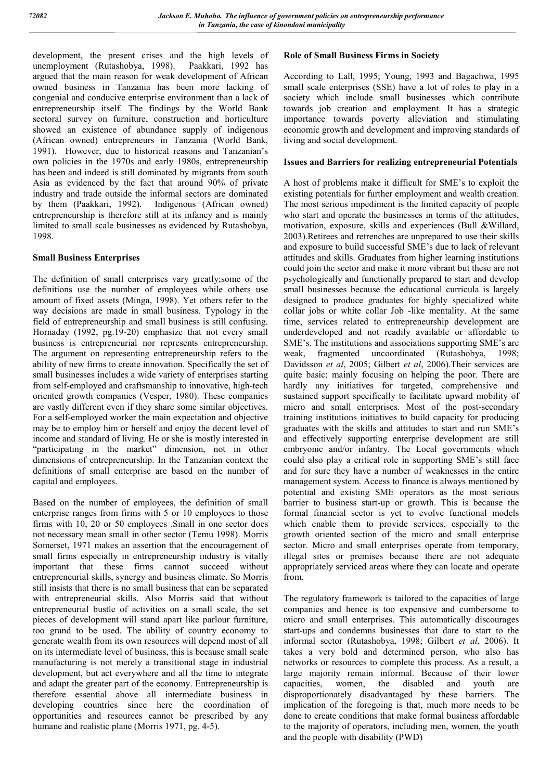development, the present crises and the high levels of unemployment (Rutashobya, 1998). Paakkari, 1992 has unemployment (Rutashobya, 1998). argued that the main reason for weak development of African owned business in Tanzania has been more lacking of congenial and conducive enterprise environment than a lack of entrepreneurship itself. The findings by the World Bank sectoral survey on furniture, construction and horticulture showed an existence of abundance supply of indigenous (African owned) entrepreneurs in Tanzania (World Bank, 1991). However, due to historical reasons and Tanzanian's own policies in the 1970s and early 1980s, entrepreneurship has been and indeed is still dominated by migrants from south Asia as evidenced by the fact that around 90% of private industry and trade outside the informal sectors are dominated by them (Paakkari, 1992). Indigenous (African owned) entrepreneurship is therefore still at its infancy and is mainly limited to small scale businesses as evidenced by Rutashobya, 1998.

### **Small Business Enterprises**

The definition of small enterprises vary greatly;some of the definitions use the number of employees while others use amount of fixed assets (Minga, 1998). Yet others refer to the way decisions are made in small business. Typology in the field of entrepreneurship and small business is still confusing. Hornaday (1992, pg.19-20) emphasize that not every small business is entrepreneurial nor represents entrepreneurship. The argument on representing entrepreneurship refers to the ability of new firms to create innovation. Specifically the set of small businesses includes a wide variety of enterprises starting from self-employed and craftsmanship to innovative, high-tech oriented growth companies (Vesper, 1980). These companies are vastly different even if they share some similar objectives. For a self-employed worker the main expectation and objective may be to employ him or herself and enjoy the decent level of income and standard of living. He or she is mostly interested in "participating in the market" dimension, not in other dimensions of entrepreneurship. In the Tanzanian context the definitions of small enterprise are based on the number of capital and employees.

Based on the number of employees, the definition of small enterprise ranges from firms with 5 or 10 employees to those firms with 10, 20 or 50 employees .Small in one sector does not necessary mean small in other sector (Temu 1998). Morris Somerset, 1971 makes an assertion that the encouragement of small firms especially in entrepreneurship industry is vitally important that these firms cannot succeed without entrepreneurial skills, synergy and business climate. So Morris still insists that there is no small business that can be separated with entrepreneurial skills. Also Morris said that without entrepreneurial bustle of activities on a small scale, the set pieces of development will stand apart like parlour furniture, too grand to be used. The ability of country economy to generate wealth from its own resources will depend most of all on its intermediate level of business, this is because small scale manufacturing is not merely a transitional stage in industrial development, but act everywhere and all the time to integrate and adapt the greater part of the economy. Entrepreneurship is therefore essential above all intermediate business in developing countries since here the coordination of opportunities and resources cannot be prescribed by any humane and realistic plane (Morris 1971, pg. 4-5).

### **Role of Small Business Firms in Society**

According to Lall, 1995; Young, 1993 and Bagachwa, 1995 small scale enterprises (SSE) have a lot of roles to play in a society which include small businesses which contribute towards job creation and employment. It has a strategic importance towards poverty alleviation and stimulating economic growth and development and improving standards of living and social development.

### **Issues and Barriers for realizing entrepreneurial Potentials**

A host of problems make it difficult for SME's to exploit the existing potentials for further employment and wealth creation. The most serious impediment is the limited capacity of people who start and operate the businesses in terms of the attitudes, motivation, exposure, skills and experiences (Bull &Willard, 2003).Retirees and retrenches are unprepared to use their skills and exposure to build successful SME's due to lack of relevant attitudes and skills. Graduates from higher learning institutions could join the sector and make it more vibrant but these are not psychologically and functionally prepared to start and develop small businesses because the educational curricula is largely designed to produce graduates for highly specialized white collar jobs or white collar Job -like mentality. At the same time, services related to entrepreneurship development are underdeveloped and not readily available or affordable to SME's. The institutions and associations supporting SME's are weak, fragmented uncoordinated (Rutashobya, 1998; Davidsson *et al*, 2005; Gilbert *et al*, 2006).Their services are quite basic; mainly focusing on helping the poor. There are hardly any initiatives for targeted, comprehensive and sustained support specifically to facilitate upward mobility of micro and small enterprises. Most of the post-secondary training institutions initiatives to build capacity for producing graduates with the skills and attitudes to start and run SME's and effectively supporting enterprise development are still embryonic and/or infantry. The Local governments which could also play a critical role in supporting SME's still face and for sure they have a number of weaknesses in the entire management system. Access to finance is always mentioned by potential and existing SME operators as the most serious barrier to business start-up or growth. This is because the formal financial sector is yet to evolve functional models which enable them to provide services, especially to the growth oriented section of the micro and small enterprise sector. Micro and small enterprises operate from temporary, illegal sites or premises because there are not adequate appropriately serviced areas where they can locate and operate from.

The regulatory framework is tailored to the capacities of large companies and hence is too expensive and cumbersome to micro and small enterprises. This automatically discourages start-ups and condemns businesses that dare to start to the informal sector (Rutashobya, 1998; Gilbert *et al*, 2006). It takes a very bold and determined person, who also has networks or resources to complete this process. As a result, a large majority remain informal. Because of their lower capacities, women, the disabled and youth are disproportionately disadvantaged by these barriers. The implication of the foregoing is that, much more needs to be done to create conditions that make formal business affordable to the majority of operators, including men, women, the youth and the people with disability (PWD)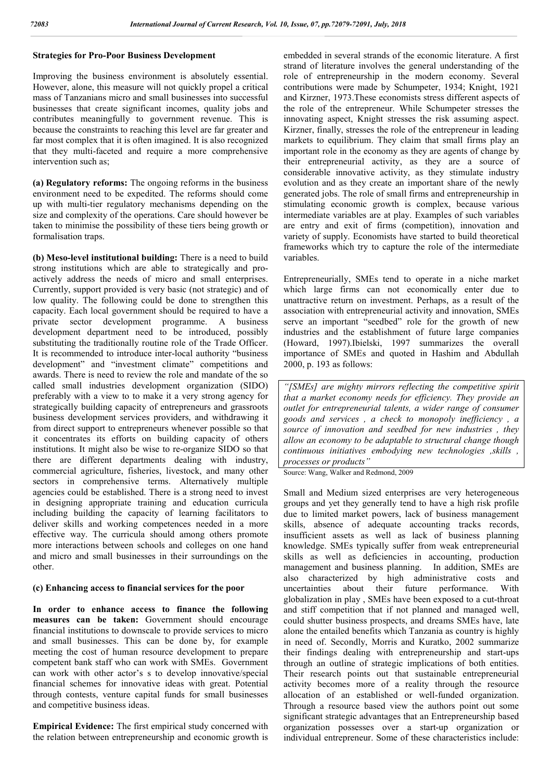# **Strategies for Pro-Poor Business Development**

Improving the business environment is absolutely essential. However, alone, this measure will not quickly propel a critical mass of Tanzanians micro and small businesses into successful businesses that create significant incomes, quality jobs and contributes meaningfully to government revenue. This is because the constraints to reaching this level are far greater and far most complex that it is often imagined. It is also recognized that they multi-faceted and require a more comprehensive intervention such as;

**(a) Regulatory reforms:** The ongoing reforms in the business environment need to be expedited. The reforms should come up with multi-tier regulatory mechanisms depending on the size and complexity of the operations. Care should however be taken to minimise the possibility of these tiers being growth or formalisation traps.

**(b) Meso-level institutional building:** There is a need to build strong institutions which are able to strategically and proactively address the needs of micro and small enterprises. Currently, support provided is very basic (not strategic) and of low quality. The following could be done to strengthen this capacity. Each local government should be required to have a private sector development programme. A business development department need to be introduced, possibly substituting the traditionally routine role of the Trade Officer. It is recommended to introduce inter-local authority "business development" and "investment climate" competitions and awards. There is need to review the role and mandate of the so called small industries development organization (SIDO) preferably with a view to to make it a very strong agency for strategically building capacity of entrepreneurs and grassroots business development services providers, and withdrawing it from direct support to entrepreneurs whenever possible so that it concentrates its efforts on building capacity of others institutions. It might also be wise to re-organize SIDO so that there are different departments dealing with industry, commercial agriculture, fisheries, livestock, and many other sectors in comprehensive terms. Alternatively multiple agencies could be established. There is a strong need to invest in designing appropriate training and education curricula including building the capacity of learning facilitators to deliver skills and working competences needed in a more effective way. The curricula should among others promote more interactions between schools and colleges on one hand and micro and small businesses in their surroundings on the other.

### **(c) Enhancing access to financial services for the poor**

**In order to enhance access to finance the following measures can be taken:** Government should encourage financial institutions to downscale to provide services to micro and small businesses. This can be done by, for example meeting the cost of human resource development to prepare competent bank staff who can work with SMEs. Government can work with other actor's s to develop innovative/special financial schemes for innovative ideas with great. Potential through contests, venture capital funds for small businesses and competitive business ideas.

**Empirical Evidence:** The first empirical study concerned with the relation between entrepreneurship and economic growth is embedded in several strands of the economic literature. A first strand of literature involves the general understanding of the role of entrepreneurship in the modern economy. Several contributions were made by Schumpeter, 1934; Knight, 1921 and Kirzner, 1973.These economists stress different aspects of the role of the entrepreneur. While Schumpeter stresses the innovating aspect, Knight stresses the risk assuming aspect. Kirzner, finally, stresses the role of the entrepreneur in leading markets to equilibrium. They claim that small firms play an important role in the economy as they are agents of change by their entrepreneurial activity, as they are a source of considerable innovative activity, as they stimulate industry evolution and as they create an important share of the newly generated jobs. The role of small firms and entrepreneurship in stimulating economic growth is complex, because various intermediate variables are at play. Examples of such variables are entry and exit of firms (competition), innovation and variety of supply. Economists have started to build theoretical frameworks which try to capture the role of the intermediate variables.

Entrepreneurially, SMEs tend to operate in a niche market which large firms can not economically enter due to unattractive return on investment. Perhaps, as a result of the association with entrepreneurial activity and innovation, SMEs serve an important "seedbed" role for the growth of new industries and the establishment of future large companies (Howard, 1997).Ibielski, 1997 summarizes the overall importance of SMEs and quoted in Hashim and Abdullah 2000, p. 193 as follows:

*"[SMEs] are mighty mirrors reflecting the competitive spirit that a market economy needs for efficiency. They provide an outlet for entrepreneurial talents, a wider range of consumer goods and services , a check to monopoly inefficiency , a source of innovation and seedbed for new industries , they allow an economy to be adaptable to structural change though continuous initiatives embodying new technologies ,skills , processes or products"*

Source: Wang, Walker and Redmond, 2009

Small and Medium sized enterprises are very heterogeneous groups and yet they generally tend to have a high risk profile due to limited market powers, lack of business management skills, absence of adequate accounting tracks records, insufficient assets as well as lack of business planning knowledge. SMEs typically suffer from weak entrepreneurial skills as well as deficiencies in accounting, production management and business planning. In addition, SMEs are also characterized by high administrative costs and uncertainties about their future performance. With globalization in play , SMEs have been exposed to a cut-throat and stiff competition that if not planned and managed well, could shutter business prospects, and dreams SMEs have, late alone the entailed benefits which Tanzania as country is highly in need of. Secondly, Morris and Kuratko, 2002 summarize their findings dealing with entrepreneurship and start-ups through an outline of strategic implications of both entities. Their research points out that sustainable entrepreneurial activity becomes more of a reality through the resource allocation of an established or well-funded organization. Through a resource based view the authors point out some significant strategic advantages that an Entrepreneurship based organization possesses over a start-up organization or individual entrepreneur. Some of these characteristics include: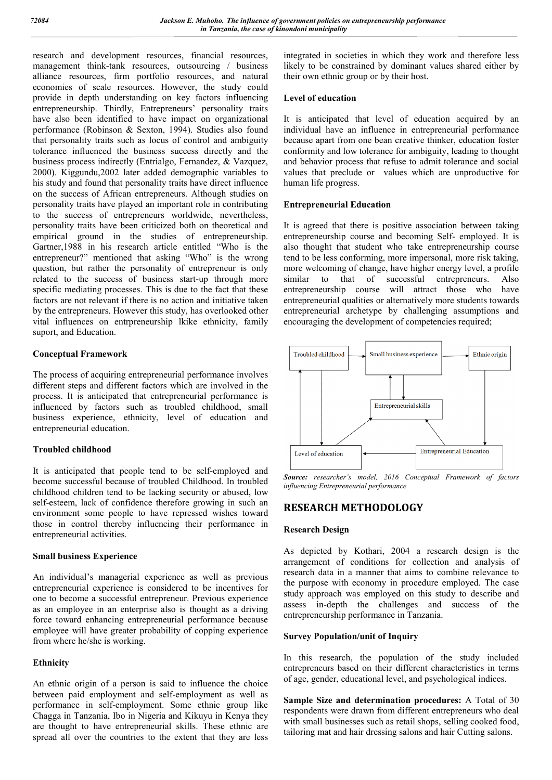research and development resources, financial resources, management think-tank resources, outsourcing / business alliance resources, firm portfolio resources, and natural economies of scale resources. However, the study could provide in depth understanding on key factors influencing entrepreneurship. Thirdly, Entrepreneurs' personality traits have also been identified to have impact on organizational performance (Robinson & Sexton, 1994). Studies also found that personality traits such as locus of control and ambiguity tolerance influenced the business success directly and the business process indirectly (Entrialgo, Fernandez, & Vazquez, 2000). Kiggundu,2002 later added demographic variables to his study and found that personality traits have direct influence on the success of African entrepreneurs. Although studies on personality traits have played an important role in contributing to the success of entrepreneurs worldwide, nevertheless, personality traits have been criticized both on theoretical and empirical ground in the studies of entrepreneurship. Gartner,1988 in his research article entitled "Who is the entrepreneur?" mentioned that asking "Who" is the wrong question, but rather the personality of entrepreneur is only related to the success of business start-up through more specific mediating processes. This is due to the fact that these factors are not relevant if there is no action and initiative taken by the entrepreneurs. However this study, has overlooked other vital influences on entrpreneurship lkike ethnicity, family suport, and Education.

# **Conceptual Framework**

The process of acquiring entrepreneurial performance involves different steps and different factors which are involved in the process. It is anticipated that entrepreneurial performance is influenced by factors such as troubled childhood, small business experience, ethnicity, level of education and entrepreneurial education.

### **Troubled childhood**

It is anticipated that people tend to be self-employed and become successful because of troubled Childhood. In troubled childhood children tend to be lacking security or abused, low self-esteem, lack of confidence therefore growing in such an environment some people to have repressed wishes toward those in control thereby influencing their performance in entrepreneurial activities.

### **Small business Experience**

An individual's managerial experience as well as previous entrepreneurial experience is considered to be incentives for one to become a successful entrepreneur. Previous experience as an employee in an enterprise also is thought as a driving force toward enhancing entrepreneurial performance because employee will have greater probability of copping experience from where he/she is working.

### **Ethnicity**

An ethnic origin of a person is said to influence the choice between paid employment and self-employment as well as performance in self-employment. Some ethnic group like Chagga in Tanzania, Ibo in Nigeria and Kikuyu in Kenya they are thought to have entrepreneurial skills. These ethnic are spread all over the countries to the extent that they are less

integrated in societies in which they work and therefore less likely to be constrained by dominant values shared either by their own ethnic group or by their host.

## **Level of education**

It is anticipated that level of education acquired by an individual have an influence in entrepreneurial performance because apart from one bean creative thinker, education foster conformity and low tolerance for ambiguity, leading to thought and behavior process that refuse to admit tolerance and social values that preclude or values which are unproductive for human life progress.

# **Entrepreneurial Education**

It is agreed that there is positive association between taking entrepreneurship course and becoming Self- employed. It is also thought that student who take entrepreneurship course tend to be less conforming, more impersonal, more risk taking, more welcoming of change, have higher energy level, a profile similar to that of successful entrepreneurs. Also entrepreneurship course will attract those who have entrepreneurial qualities or alternatively more students towards entrepreneurial archetype by challenging assumptions and encouraging the development of competencies required;



*Source: researcher's model, 2016 Conceptual Framework of factors influencing Entrepreneurial performance*

# **RESEARCH METHODOLOGY**

### **Research Design**

As depicted by Kothari, 2004 a research design is the arrangement of conditions for collection and analysis of research data in a manner that aims to combine relevance to the purpose with economy in procedure employed. The case study approach was employed on this study to describe and assess in-depth the challenges and success of the entrepreneurship performance in Tanzania.

### **Survey Population/unit of Inquiry**

In this research, the population of the study included entrepreneurs based on their different characteristics in terms of age, gender, educational level, and psychological indices.

**Sample Size and determination procedures:** A Total of 30 respondents were drawn from different entrepreneurs who deal with small businesses such as retail shops, selling cooked food, tailoring mat and hair dressing salons and hair Cutting salons.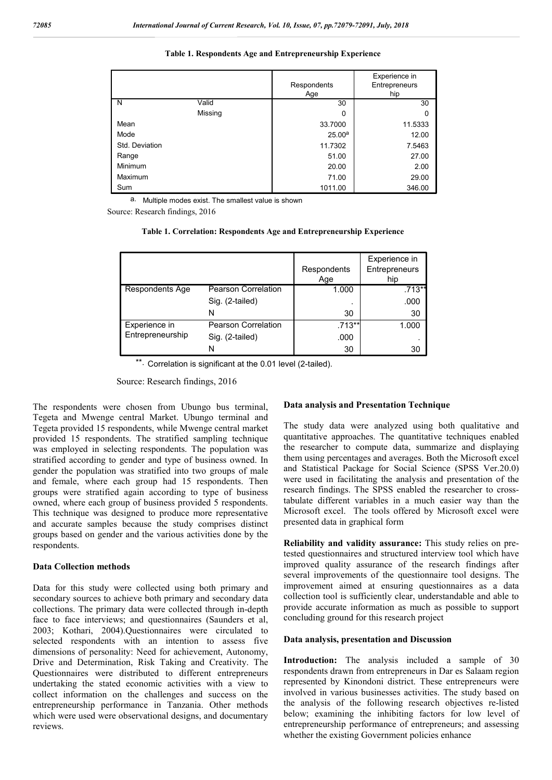|  |  |  |  | Table 1. Respondents Age and Entrepreneurship Experience |  |
|--|--|--|--|----------------------------------------------------------|--|
|  |  |  |  |                                                          |  |

|                         |         | Respondents<br>Age | Experience in<br>Entrepreneurs<br>hip |
|-------------------------|---------|--------------------|---------------------------------------|
| $\overline{\mathsf{N}}$ | Valid   | 30                 | 30                                    |
|                         | Missing | 0                  | 0                                     |
| Mean                    |         | 33.7000            | 11.5333                               |
| Mode                    |         | 25.00 <sup>a</sup> | 12.00                                 |
| Std. Deviation          |         | 11.7302            | 7.5463                                |
| Range                   |         | 51.00              | 27.00                                 |
| Minimum                 |         | 20.00              | 2.00                                  |
| Maximum                 |         | 71.00              | 29.00                                 |
| Sum                     |         | 1011.00            | 346.00                                |

a. Multiple modes exist. The smallest value is shown

Source: Research findings, 2016

| Table 1. Correlation: Respondents Age and Entrepreneurship Experience |  |  |  |  |  |
|-----------------------------------------------------------------------|--|--|--|--|--|
|-----------------------------------------------------------------------|--|--|--|--|--|

|                  |                            | Respondents<br>Age | Experience in<br>Entrepreneurs<br>hip |
|------------------|----------------------------|--------------------|---------------------------------------|
| Respondents Age  | <b>Pearson Correlation</b> | 1.000              | .713**                                |
|                  | Sig. (2-tailed)            |                    | .000                                  |
|                  | N                          | 30                 | 30                                    |
| Experience in    | <b>Pearson Correlation</b> | .713**             | 1.000                                 |
| Entrepreneurship | Sig. (2-tailed)            | .000               |                                       |
|                  | N                          | 30                 | 30                                    |

\*\* Correlation is significant at the 0.01 level (2-tailed).

Source: Research findings, 2016

The respondents were chosen from Ubungo bus terminal, Tegeta and Mwenge central Market. Ubungo terminal and Tegeta provided 15 respondents, while Mwenge central market provided 15 respondents. The stratified sampling technique was employed in selecting respondents. The population was stratified according to gender and type of business owned. In gender the population was stratified into two groups of male and female, where each group had 15 respondents. Then groups were stratified again according to type of business owned, where each group of business provided 5 respondents. This technique was designed to produce more representative and accurate samples because the study comprises distinct groups based on gender and the various activities done by the respondents.

### **Data Collection methods**

Data for this study were collected using both primary and secondary sources to achieve both primary and secondary data collections. The primary data were collected through in-depth face to face interviews; and questionnaires (Saunders et al, 2003; Kothari, 2004).Questionnaires were circulated to selected respondents with an intention to assess five dimensions of personality: Need for achievement, Autonomy, Drive and Determination, Risk Taking and Creativity. The Questionnaires were distributed to different entrepreneurs undertaking the stated economic activities with a view to collect information on the challenges and success on the entrepreneurship performance in Tanzania. Other methods which were used were observational designs, and documentary reviews.

#### **Data analysis and Presentation Technique**

The study data were analyzed using both qualitative and quantitative approaches. The quantitative techniques enabled the researcher to compute data, summarize and displaying them using percentages and averages. Both the Microsoft excel and Statistical Package for Social Science (SPSS Ver.20.0) were used in facilitating the analysis and presentation of the research findings. The SPSS enabled the researcher to crosstabulate different variables in a much easier way than the Microsoft excel. The tools offered by Microsoft excel were presented data in graphical form

**Reliability and validity assurance:** This study relies on pretested questionnaires and structured interview tool which have improved quality assurance of the research findings after several improvements of the questionnaire tool designs. The improvement aimed at ensuring questionnaires as a data collection tool is sufficiently clear, understandable and able to provide accurate information as much as possible to support concluding ground for this research project

### **Data analysis, presentation and Discussion**

**Introduction:** The analysis included a sample of 30 respondents drawn from entrepreneurs in Dar es Salaam region represented by Kinondoni district. These entrepreneurs were involved in various businesses activities. The study based on the analysis of the following research objectives re-listed below; examining the inhibiting factors for low level of entrepreneurship performance of entrepreneurs; and assessing whether the existing Government policies enhance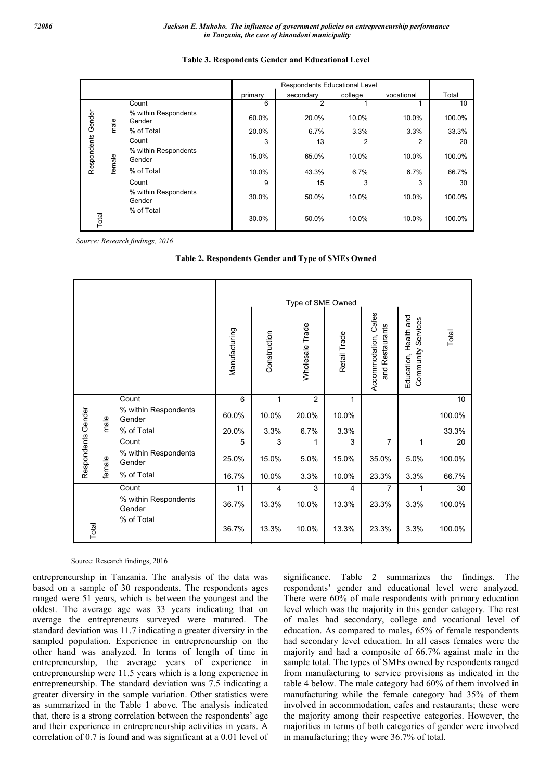### **Table 3. Respondents Gender and Educational Level**

|                    |        |                                |         | Respondents Educational Level |         |            |        |
|--------------------|--------|--------------------------------|---------|-------------------------------|---------|------------|--------|
|                    |        |                                | primary | secondary                     | college | vocational | Total  |
|                    |        | Count                          | 6       | 2                             |         |            | 10     |
|                    | male   | % within Respondents<br>Gender | 60.0%   | 20.0%                         | 10.0%   | 10.0%      | 100.0% |
|                    |        | % of Total                     | 20.0%   | 6.7%                          | 3.3%    | 3.3%       | 33.3%  |
|                    |        | Count                          | 3       | 13                            | 2       | 2          | 20     |
| Respondents Gender | female | % within Respondents<br>Gender | 15.0%   | 65.0%                         | 10.0%   | 10.0%      | 100.0% |
|                    |        | % of Total                     | 10.0%   | 43.3%                         | 6.7%    | 6.7%       | 66.7%  |
|                    |        | Count                          | 9       | 15                            | 3       | 3          | 30     |
|                    |        | % within Respondents<br>Gender | 30.0%   | 50.0%                         | 10.0%   | 10.0%      | 100.0% |
| Total              |        | % of Total                     | 30.0%   | 50.0%                         | 10.0%   | 10.0%      | 100.0% |

 *Source: Research findings, 2016*

|                    |        |                                |                |                | Type of SME Owned |              |                                            |                                                      |        |
|--------------------|--------|--------------------------------|----------------|----------------|-------------------|--------------|--------------------------------------------|------------------------------------------------------|--------|
|                    |        |                                | Manufacturing  | Construction   | Wholesale Trade   | Retail Trade | Accommodation, Cafes<br>Restaurants<br>and | and<br>Services<br>Health<br>Community<br>Education, | Total  |
|                    |        | Count                          | $\overline{6}$ | 1              | $\overline{2}$    | 1            |                                            |                                                      | 10     |
|                    | male   | % within Respondents<br>Gender | 60.0%          | 10.0%          | 20.0%             | 10.0%        |                                            |                                                      | 100.0% |
|                    |        | % of Total                     | 20.0%          | 3.3%           | 6.7%              | 3.3%         |                                            |                                                      | 33.3%  |
|                    |        | Count                          | 5              | 3              | 1                 | 3            | $\overline{7}$                             | 1                                                    | 20     |
| Respondents Gender | female | % within Respondents<br>Gender | 25.0%          | 15.0%          | 5.0%              | 15.0%        | 35.0%                                      | 5.0%                                                 | 100.0% |
|                    |        | % of Total                     | 16.7%          | 10.0%          | 3.3%              | 10.0%        | 23.3%                                      | 3.3%                                                 | 66.7%  |
|                    |        | Count                          | 11             | $\overline{4}$ | 3                 | 4            | $\overline{7}$                             | 1                                                    | 30     |
|                    |        | % within Respondents<br>Gender | 36.7%          | 13.3%          | 10.0%             | 13.3%        | 23.3%                                      | 3.3%                                                 | 100.0% |
| Total              |        | % of Total                     | 36.7%          | 13.3%          | 10.0%             | 13.3%        | 23.3%                                      | 3.3%                                                 | 100.0% |

#### Source: Research findings, 2016

entrepreneurship in Tanzania. The analysis of the data was based on a sample of 30 respondents. The respondents ages ranged were 51 years, which is between the youngest and the oldest. The average age was 33 years indicating that on average the entrepreneurs surveyed were matured. The standard deviation was 11.7 indicating a greater diversity in the sampled population. Experience in entrepreneurship on the other hand was analyzed. In terms of length of time in entrepreneurship, the average years of experience in entrepreneurship were 11.5 years which is a long experience in entrepreneurship. The standard deviation was 7.5 indicating a greater diversity in the sample variation. Other statistics were as summarized in the Table 1 above. The analysis indicated that, there is a strong correlation between the respondents' age and their experience in entrepreneurship activities in years. A correlation of 0.7 is found and was significant at a 0.01 level of

significance. Table 2 summarizes the findings. The respondents' gender and educational level were analyzed. There were 60% of male respondents with primary education level which was the majority in this gender category. The rest of males had secondary, college and vocational level of education. As compared to males, 65% of female respondents had secondary level education. In all cases females were the majority and had a composite of 66.7% against male in the sample total. The types of SMEs owned by respondents ranged from manufacturing to service provisions as indicated in the table 4 below. The male category had 60% of them involved in manufacturing while the female category had 35% of them involved in accommodation, cafes and restaurants; these were the majority among their respective categories. However, the majorities in terms of both categories of gender were involved in manufacturing; they were 36.7% of total.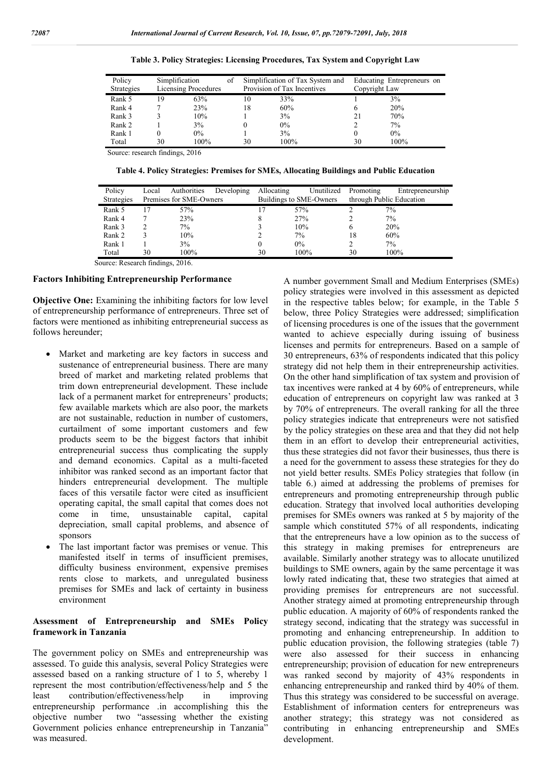| Policy            | Simplification |                      | οf |    | Simplification of Tax System and |    | Educating Entrepreneurs on |  |  |
|-------------------|----------------|----------------------|----|----|----------------------------------|----|----------------------------|--|--|
| <b>Strategies</b> |                | Licensing Procedures |    |    | Provision of Tax Incentives      |    | Copyright Law              |  |  |
| Rank 5            | 19             | 63%                  |    | 10 | 33%                              |    | 3%                         |  |  |
| Rank 4            |                | 23%                  |    | 18 | 60%                              |    | 20%                        |  |  |
| Rank 3            |                | 10%                  |    |    | 3%                               | 21 | 70%                        |  |  |
| Rank 2            |                | 3%                   |    |    | $0\%$                            |    | 7%                         |  |  |
| Rank 1            |                | $0\%$                |    |    | 3%                               |    | $0\%$                      |  |  |
| Total             | 30             | 100%                 |    | 30 | 100%                             | 30 | 100%                       |  |  |

|  |  |  | Table 3. Policy Strategies: Licensing Procedures, Tax System and Copyright Law |
|--|--|--|--------------------------------------------------------------------------------|
|  |  |  |                                                                                |

Source: research findings, 2016

**Table 4. Policy Strategies: Premises for SMEs, Allocating Buildings and Public Education**

| Policy<br><b>Strategies</b> | Local | Authorities<br>Premises for SME-Owners | Developing | Allocating | Unutilized<br>Buildings to SME-Owners | Promoting<br>through Public Education | Entrepreneurship |
|-----------------------------|-------|----------------------------------------|------------|------------|---------------------------------------|---------------------------------------|------------------|
| Rank 5                      |       | 57%                                    |            | 17         | 57%                                   |                                       | $7\%$            |
| Rank 4                      |       | 23%                                    |            | 8          | 27%                                   |                                       | 7%               |
| Rank 3                      |       | 7%                                     |            |            | 10%                                   | h                                     | 20%              |
| Rank 2                      |       | 10%                                    |            |            | 7%                                    | 18                                    | 60%              |
| Rank 1                      |       | 3%                                     |            |            | $0\%$                                 |                                       | 7%               |
| Total                       | 30    | 100%                                   |            | 30         | 100%                                  | 30                                    | 100%             |

Source: Research findings, 2016.

### **Factors Inhibiting Entrepreneurship Performance**

**Objective One:** Examining the inhibiting factors for low level of entrepreneurship performance of entrepreneurs. Three set of factors were mentioned as inhibiting entrepreneurial success as follows hereunder;

- Market and marketing are key factors in success and sustenance of entrepreneurial business. There are many breed of market and marketing related problems that trim down entrepreneurial development. These include lack of a permanent market for entrepreneurs' products; few available markets which are also poor, the markets are not sustainable, reduction in number of customers, curtailment of some important customers and few products seem to be the biggest factors that inhibit entrepreneurial success thus complicating the supply and demand economics. Capital as a multi-faceted inhibitor was ranked second as an important factor that hinders entrepreneurial development. The multiple faces of this versatile factor were cited as insufficient operating capital, the small capital that comes does not come in time, unsustainable capital, capital depreciation, small capital problems, and absence of sponsors
- The last important factor was premises or venue. This manifested itself in terms of insufficient premises, difficulty business environment, expensive premises rents close to markets, and unregulated business premises for SMEs and lack of certainty in business environment

### **Assessment of Entrepreneurship and SMEs Policy framework in Tanzania**

The government policy on SMEs and entrepreneurship was assessed. To guide this analysis, several Policy Strategies were assessed based on a ranking structure of 1 to 5, whereby 1 represent the most contribution/effectiveness/help and 5 the least contribution/effectiveness/help in improving entrepreneurship performance .in accomplishing this the objective number two "assessing whether the existing Government policies enhance entrepreneurship in Tanzania" was measured.

A number government Small and Medium Enterprises (SMEs) policy strategies were involved in this assessment as depicted in the respective tables below; for example, in the Table 5 below, three Policy Strategies were addressed; simplification of licensing procedures is one of the issues that the government wanted to achieve especially during issuing of business licenses and permits for entrepreneurs. Based on a sample of 30 entrepreneurs, 63% of respondents indicated that this policy strategy did not help them in their entrepreneurship activities. On the other hand simplification of tax system and provision of tax incentives were ranked at 4 by 60% of entrepreneurs, while education of entrepreneurs on copyright law was ranked at 3 by 70% of entrepreneurs. The overall ranking for all the three policy strategies indicate that entrepreneurs were not satisfied by the policy strategies on these area and that they did not help them in an effort to develop their entrepreneurial activities, thus these strategies did not favor their businesses, thus there is a need for the government to assess these strategies for they do not yield better results. SMEs Policy strategies that follow (in table 6.) aimed at addressing the problems of premises for entrepreneurs and promoting entrepreneurship through public education. Strategy that involved local authorities developing premises for SMEs owners was ranked at 5 by majority of the sample which constituted 57% of all respondents, indicating that the entrepreneurs have a low opinion as to the success of this strategy in making premises for entrepreneurs are available. Similarly another strategy was to allocate unutilized buildings to SME owners, again by the same percentage it was lowly rated indicating that, these two strategies that aimed at providing premises for entrepreneurs are not successful. Another strategy aimed at promoting entrepreneurship through public education. A majority of 60% of respondents ranked the strategy second, indicating that the strategy was successful in promoting and enhancing entrepreneurship. In addition to public education provision, the following strategies (table 7) were also assessed for their success in enhancing entrepreneurship; provision of education for new entrepreneurs was ranked second by majority of 43% respondents in enhancing entrepreneurship and ranked third by 40% of them. Thus this strategy was considered to be successful on average. Establishment of information centers for entrepreneurs was another strategy; this strategy was not considered as contributing in enhancing entrepreneurship and SMEs development.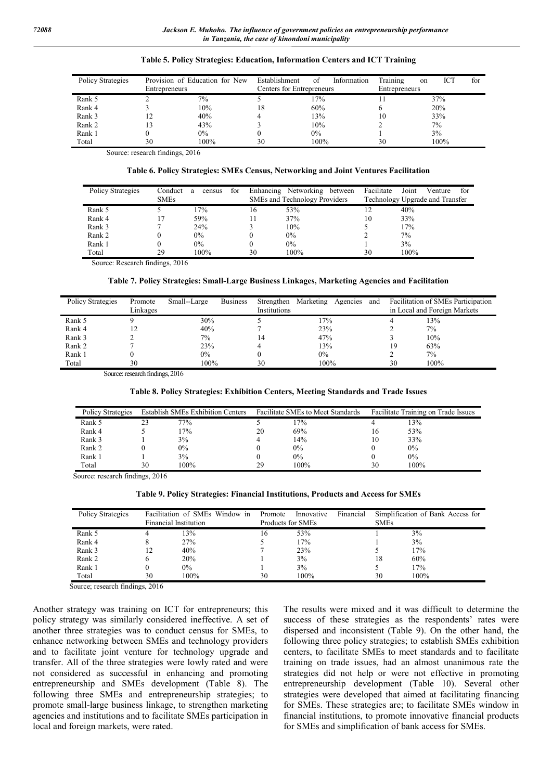| Policy Strategies | Entrepreneurs | Provision of Education for New | Establishment<br>Centers for Entrepreneurs | of    | Information | Training<br>Entrepreneurs | ICT<br>on | for |
|-------------------|---------------|--------------------------------|--------------------------------------------|-------|-------------|---------------------------|-----------|-----|
| Rank 5            |               | $7\%$                          |                                            | 17%   |             |                           | 37%       |     |
| Rank 4            |               | 10%                            | 18                                         | 60%   |             | <sub>(</sub>              | 20%       |     |
| Rank 3            |               | 40%                            |                                            | 13%   |             | 10                        | 33%       |     |
| Rank 2            |               | 43%                            |                                            | 10%   |             |                           | $7\%$     |     |
| Rank 1            |               | $0\%$                          |                                            | $0\%$ |             |                           | 3%        |     |
| Total             | 30            | 100%                           | 30                                         | 100%  |             | 30                        | 100%      |     |

#### **Table 5. Policy Strategies: Education, Information Centers and ICT Training**

Source: research findings, 2016

#### **Table 6. Policy Strategies: SMEs Census, Networking and Joint Ventures Facilitation**

| Policy Strategies | Conduct<br><b>SMEs</b> | census<br>a | for |    | Enhancing Networking<br>between<br>SMEs and Technology Providers | Facilitate | Joint<br>Venture<br>tor<br>Technology Upgrade and Transfer |
|-------------------|------------------------|-------------|-----|----|------------------------------------------------------------------|------------|------------------------------------------------------------|
| Rank 5            |                        | 17%         |     | 16 | 53%                                                              |            | 40%                                                        |
| Rank 4            |                        | 59%         |     | 11 | 37%                                                              | 10         | 33%                                                        |
| Rank 3            |                        | 24%         |     |    | 10%                                                              |            | 17%                                                        |
| Rank 2            |                        | $0\%$       |     |    | $0\%$                                                            |            | 7%                                                         |
| Rank 1            | 0                      | $0\%$       |     |    | $0\%$                                                            |            | 3%                                                         |
| Total             | 29                     | 100%        |     | 30 | 100%                                                             | 30         | 100%                                                       |

Source: Research findings, 2016

### **Table 7. Policy Strategies: Small-Large Business Linkages, Marketing Agencies and Facilitation**

| Policy Strategies | Promote<br>Linkages | Small--Large | <b>Business</b> | Strengthen<br>Institutions | Marketing | Agencies | and |    | Facilitation of SMEs Participation<br>in Local and Foreign Markets |
|-------------------|---------------------|--------------|-----------------|----------------------------|-----------|----------|-----|----|--------------------------------------------------------------------|
|                   |                     |              |                 |                            |           |          |     |    |                                                                    |
| Rank 5            |                     | 30%          |                 |                            | $7\%$     |          |     |    | 13%                                                                |
| Rank 4            |                     | 40%          |                 |                            | 23%       |          |     |    | 7%                                                                 |
| Rank 3            |                     | $7\%$        |                 | 14                         | 47%       |          |     |    | 10%                                                                |
| Rank 2            |                     | 23%          |                 |                            | 13%       |          |     | 19 | 63%                                                                |
| Rank 1            |                     | $0\%$        |                 |                            | $0\%$     |          |     |    | 7%                                                                 |
| Total             | 30                  | 100%         |                 | 30                         | 100%      |          |     | 30 | 100%                                                               |

Source: research findings, 2016

#### **Table 8. Policy Strategies: Exhibition Centers, Meeting Standards and Trade Issues**

| Policy Strategies | <b>Establish SMEs Exhibition Centers</b> |       |    | <b>Facilitate SMEs to Meet Standards</b> | Facilitate Training on Trade Issues |       |  |
|-------------------|------------------------------------------|-------|----|------------------------------------------|-------------------------------------|-------|--|
| Rank 5            |                                          | 77%   |    | 17%                                      |                                     | 13%   |  |
| Rank 4            |                                          | 17%   | 20 | 69%                                      | 16                                  | 53%   |  |
| Rank 3            |                                          | 3%    |    | 14%                                      | 10                                  | 33%   |  |
| Rank 2            |                                          | $0\%$ |    | $0\%$                                    |                                     | $0\%$ |  |
| Rank 1            |                                          | 3%    |    | $0\%$                                    |                                     | $0\%$ |  |
| Total             | 30                                       | 100%  | 29 | 100%                                     | 30                                  | 100%  |  |

Source: research findings, 2016

### **Table 9. Policy Strategies: Financial Institutions, Products and Access for SMEs**

| Policy Strategies |    | Facilitation of SMEs Window in<br>Financial Institution | Promote<br>Products for SMEs | Innovative | Financial | <b>SMEs</b> | Simplification of Bank Access for |
|-------------------|----|---------------------------------------------------------|------------------------------|------------|-----------|-------------|-----------------------------------|
| Rank 5            |    | 13%                                                     | 16                           | 53%        |           |             | 3%                                |
| Rank 4            |    | 27%                                                     |                              | 17%        |           |             | 3%                                |
| Rank 3            |    | 40%                                                     |                              | 23%        |           |             | 17%                               |
| Rank 2            |    | 20%                                                     |                              | 3%         |           | 18          | 60%                               |
| Rank 1            |    | $0\%$                                                   |                              | 3%         |           |             | 17%                               |
| Total             | 30 | 100%                                                    | 30                           | 100%       |           | 30          | 100%                              |

Source; research findings, 2016

Another strategy was training on ICT for entrepreneurs; this policy strategy was similarly considered ineffective. A set of another three strategies was to conduct census for SMEs, to enhance networking between SMEs and technology providers and to facilitate joint venture for technology upgrade and transfer. All of the three strategies were lowly rated and were not considered as successful in enhancing and promoting entrepreneurship and SMEs development (Table 8). The following three SMEs and entrepreneurship strategies; to promote small-large business linkage, to strengthen marketing agencies and institutions and to facilitate SMEs participation in local and foreign markets, were rated.

The results were mixed and it was difficult to determine the success of these strategies as the respondents' rates were dispersed and inconsistent (Table 9). On the other hand, the following three policy strategies; to establish SMEs exhibition centers, to facilitate SMEs to meet standards and to facilitate training on trade issues, had an almost unanimous rate the strategies did not help or were not effective in promoting entrepreneurship development (Table 10). Several other strategies were developed that aimed at facilitating financing for SMEs. These strategies are; to facilitate SMEs window in financial institutions, to promote innovative financial products for SMEs and simplification of bank access for SMEs.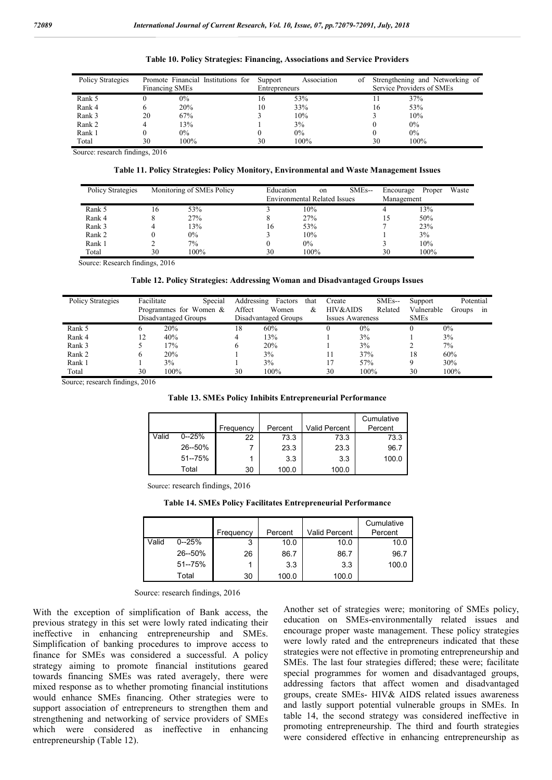| Policy Strategies | Promote Financial Institutions for<br><b>Financing SMEs</b> |       | Association<br>Support<br>Entrepreneurs |       | οf | Strengthening and Networking of<br>Service Providers of SMEs |       |
|-------------------|-------------------------------------------------------------|-------|-----------------------------------------|-------|----|--------------------------------------------------------------|-------|
| Rank 5            |                                                             | $0\%$ | 16                                      | 53%   |    |                                                              | 37%   |
| Rank 4            |                                                             | 20%   | 10                                      | 33%   |    | 16                                                           | 53%   |
| Rank 3            | 20                                                          | 67%   |                                         | 10%   |    |                                                              | 10%   |
| Rank 2            |                                                             | 13%   |                                         | 3%    |    |                                                              | $0\%$ |
| Rank 1            |                                                             | $0\%$ |                                         | $0\%$ |    |                                                              | $0\%$ |
| Total             | 30                                                          | 100%  | 30                                      | 100%  |    | 30                                                           | 100%  |

#### **Table 10. Policy Strategies: Financing, Associations and Service Providers**

Source: research findings, 2016

#### **Table 11. Policy Strategies: Policy Monitory, Environmental and Waste Management Issues**

| Policy Strategies |    | Monitoring of SMEs Policy | Education | on<br><b>Environmental Related Issues</b> | SME <sub>s</sub> -- | Encourage<br>Management | Proper | Waste |
|-------------------|----|---------------------------|-----------|-------------------------------------------|---------------------|-------------------------|--------|-------|
| Rank 5            | 16 | 53%                       |           | 10%                                       |                     |                         | 13%    |       |
| Rank 4            |    | 27%                       |           | 27%                                       |                     | 15                      | 50%    |       |
| Rank 3            |    | 13%                       | 16        | 53%                                       |                     |                         | 23%    |       |
| Rank 2            |    | 0%                        |           | 10%                                       |                     |                         | 3%     |       |
| Rank 1            |    | 7%                        |           | $0\%$                                     |                     |                         | 10%    |       |
| Total             | 30 | 100%                      | 30        | 100%                                      |                     | 30                      | 100%   |       |

Source: Research findings, 2016

### **Table 12. Policy Strategies: Addressing Woman and Disadvantaged Groups Issues**

| Policy Strategies | Facilitate | Special<br>Programmes for Women $\&$<br>Disadvantaged Groups | Addressing<br>Affect | Factors<br>that<br>Women<br>&<br>Disadvantaged Groups | Create<br>HIV&AIDS | SME <sub>s</sub> --<br>Related<br><b>Issues Awareness</b> | Support<br>Vulnerable<br><b>SMEs</b> | Potential<br>Groups<br>ın |
|-------------------|------------|--------------------------------------------------------------|----------------------|-------------------------------------------------------|--------------------|-----------------------------------------------------------|--------------------------------------|---------------------------|
| Rank 5            |            | 20%                                                          | 18                   | 60%                                                   |                    | $0\%$                                                     |                                      | $0\%$                     |
| Rank 4            | 12         | 40%                                                          | 4                    | 13%                                                   |                    | 3%                                                        |                                      | 3%                        |
| Rank 3            |            | 17%                                                          | 6                    | 20%                                                   |                    | 3%                                                        |                                      | $7\%$                     |
| Rank 2            |            | 20%                                                          |                      | 3%                                                    |                    | 37%                                                       | 18                                   | 60%                       |
| Rank 1            |            | 3%                                                           |                      | 3%                                                    | 17                 | 57%                                                       |                                      | 30%                       |
| Total             | 30         | 100%                                                         | 30                   | 100%                                                  | 30                 | 100%                                                      | 30                                   | 100%                      |

Source; research findings, 2016

#### **Table 13. SMEs Policy Inhibits Entrepreneurial Performance**

|       |            |           |         |               | Cumulative |
|-------|------------|-----------|---------|---------------|------------|
|       |            | Frequency | Percent | Valid Percent | Percent    |
| Valid | $0 - 25%$  | 22        | 73.3    | 73.3          | 73.3       |
|       | 26--50%    |           | 23.3    | 23.3          | 96.7       |
|       | $51 - 75%$ |           | 3.3     | 3.3           | 100.0      |
|       | Total      | 30        | 100.0   | 100.0         |            |

Source: research findings, 2016

#### **Table 14. SMEs Policy Facilitates Entrepreneurial Performance**

|       |            |           |         |                      | Cumulative |
|-------|------------|-----------|---------|----------------------|------------|
|       |            | Frequency | Percent | <b>Valid Percent</b> | Percent    |
| Valid | $0 - 25%$  | 3         | 10.0    | 10.0                 | 10.0       |
|       | 26--50%    | 26        | 86.7    | 86.7                 | 96.7       |
|       | $51 - 75%$ |           | 3.3     | 3.3                  | 100.0      |
|       | Total      | 30        | 100.0   | 100.0                |            |

Source: research findings, 2016

With the exception of simplification of Bank access, the previous strategy in this set were lowly rated indicating their ineffective in enhancing entrepreneurship and SMEs. Simplification of banking procedures to improve access to finance for SMEs was considered a successful. A policy strategy aiming to promote financial institutions geared towards financing SMEs was rated averagely, there were mixed response as to whether promoting financial institutions would enhance SMEs financing. Other strategies were to support association of entrepreneurs to strengthen them and strengthening and networking of service providers of SMEs which were considered as ineffective in enhancing entrepreneurship (Table 12).

Another set of strategies were; monitoring of SMEs policy, education on SMEs-environmentally related issues and encourage proper waste management. These policy strategies were lowly rated and the entrepreneurs indicated that these strategies were not effective in promoting entrepreneurship and SMEs. The last four strategies differed; these were; facilitate special programmes for women and disadvantaged groups, addressing factors that affect women and disadvantaged groups, create SMEs- HIV& AIDS related issues awareness and lastly support potential vulnerable groups in SMEs. In table 14, the second strategy was considered ineffective in promoting entrepreneurship. The third and fourth strategies were considered effective in enhancing entrepreneurship as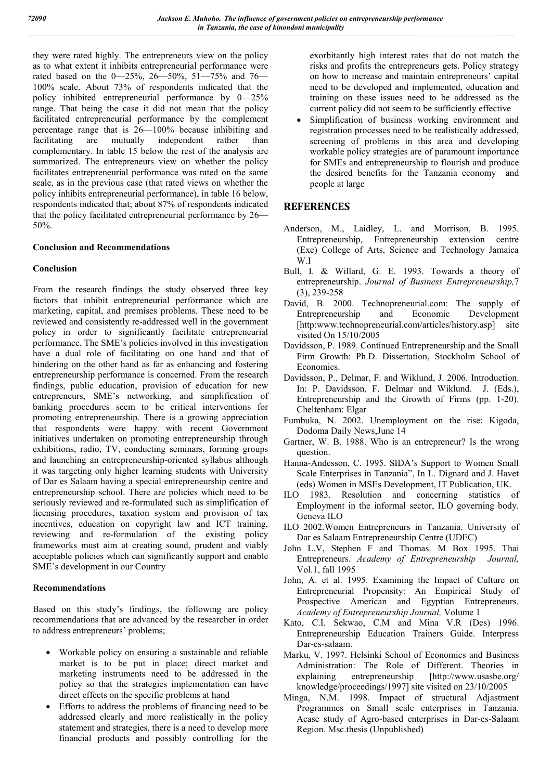they were rated highly. The entrepreneurs view on the policy as to what extent it inhibits entrepreneurial performance were rated based on the 0—25%, 26—50%, 51—75% and 76— 100% scale. About 73% of respondents indicated that the policy inhibited entrepreneurial performance by 0—25% range. That being the case it did not mean that the policy facilitated entrepreneurial performance by the complement percentage range that is 26—100% because inhibiting and facilitating are mutually independent rather than complementary. In table 15 below the rest of the analysis are summarized. The entrepreneurs view on whether the policy facilitates entrepreneurial performance was rated on the same scale, as in the previous case (that rated views on whether the policy inhibits entrepreneurial performance), in table 16 below, respondents indicated that; about 87% of respondents indicated that the policy facilitated entrepreneurial performance by 26— 50%.

### **Conclusion and Recommendations**

# **Conclusion**

From the research findings the study observed three key factors that inhibit entrepreneurial performance which are marketing, capital, and premises problems. These need to be reviewed and consistently re-addressed well in the government policy in order to significantly facilitate entrepreneurial performance. The SME's policies involved in this investigation have a dual role of facilitating on one hand and that of hindering on the other hand as far as enhancing and fostering entrepreneurship performance is concerned. From the research findings, public education, provision of education for new entrepreneurs, SME's networking, and simplification of banking procedures seem to be critical interventions for promoting entrepreneurship. There is a growing appreciation that respondents were happy with recent Government initiatives undertaken on promoting entrepreneurship through exhibitions, radio, TV, conducting seminars, forming groups and launching an entrepreneurship-oriented syllabus although it was targeting only higher learning students with University of Dar es Salaam having a special entrepreneurship centre and entrepreneurship school. There are policies which need to be seriously reviewed and re-formulated such as simplification of licensing procedures, taxation system and provision of tax incentives, education on copyright law and ICT training, reviewing and re-formulation of the existing policy frameworks must aim at creating sound, prudent and viably acceptable policies which can significantly support and enable SME's development in our Country

### **Recommendations**

Based on this study's findings, the following are policy recommendations that are advanced by the researcher in order to address entrepreneurs' problems;

- Workable policy on ensuring a sustainable and reliable market is to be put in place; direct market and marketing instruments need to be addressed in the policy so that the strategies implementation can have direct effects on the specific problems at hand
- Efforts to address the problems of financing need to be addressed clearly and more realistically in the policy statement and strategies, there is a need to develop more financial products and possibly controlling for the

exorbitantly high interest rates that do not match the risks and profits the entrepreneurs gets. Policy strategy on how to increase and maintain entrepreneurs' capital need to be developed and implemented, education and training on these issues need to be addressed as the current policy did not seem to be sufficiently effective

 Simplification of business working environment and registration processes need to be realistically addressed, screening of problems in this area and developing workable policy strategies are of paramount importance for SMEs and entrepreneurship to flourish and produce the desired benefits for the Tanzania economy and people at large

# **REFERENCES**

- Anderson, M., Laidley, L. and Morrison, B. 1995. Entrepreneurship, Entrepreneurship extension centre (Exe) College of Arts, Science and Technology Jamaica W.I
- Bull, I. & Willard, G. E. 1993. Towards a theory of entrepreneurship. *Journal of Business Entrepreneurship,*7 (3), 239-258
- David, B. 2000. Technopreneurial.com: The supply of Entrepreneurship and Economic Development [http:www.technopreneurial.com/articles/history.asp] site visited On 15/10/2005
- Davidsson, P. 1989. Continued Entrepreneurship and the Small Firm Growth: Ph.D. Dissertation, Stockholm School of **Economics**
- Davidsson, P., Delmar, F. and Wiklund, J. 2006. Introduction. In: P. Davidsson, F. Delmar and Wiklund. J. (Eds.), Entrepreneurship and the Growth of Firms (pp. 1-20). Cheltenham: Elgar
- Fumbuka, N. 2002. Unemployment on the rise: Kigoda, Dodoma Daily News,June 14
- Gartner, W. B. 1988. Who is an entrepreneur? Is the wrong question.
- Hanna-Andesson, C. 1995. SIDA's Support to Women Small Scale Enterprises in Tanzania", In L. Dignard and J. Havet (eds) Women in MSEs Development, IT Publication, UK.
- ILO 1983. Resolution and concerning statistics of Employment in the informal sector, ILO governing body. Geneva ILO
- ILO 2002.Women Entrepreneurs in Tanzania. University of Dar es Salaam Entrepreneurship Centre (UDEC)
- John L.V, Stephen F and Thomas. M Box 1995. Thai Entrepreneurs. *Academy of Entrepreneurship Journal,* Vol.1, fall 1995
- John, A. et al. 1995. Examining the Impact of Culture on Entrepreneurial Propensity: An Empirical Study of Prospective American and Egyptian Entrepreneurs. *Academy of Entrepreneurship Journal,* Volume 1
- Kato, C.I. Sekwao, C.M and Mina V.R (Des) 1996. Entrepreneurship Education Trainers Guide. Interpress Dar-es-salaam.
- Marku, V. 1997. Helsinki School of Economics and Business Administration: The Role of Different. Theories in explaining entrepreneurship [http://www.usasbe.org/ knowledge/proceedings/1997] site visited on 23/10/2005
- Minga, N.M. 1998. Impact of structural Adjastment Programmes on Small scale enterprises in Tanzania. Acase study of Agro-based enterprises in Dar-es-Salaam Region. Msc.thesis (Unpublished)